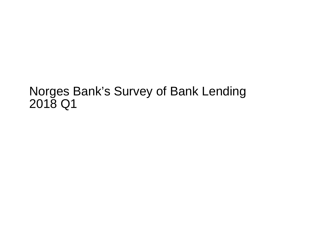## Norges Bank's Survey of Bank Lending2018 Q1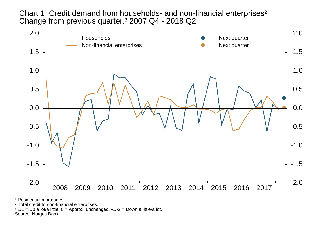Chart 1 Credit demand from households<sup>1</sup> and non-financial enterprises<sup>2</sup>. Change from previous quarter.³ 2007 Q4 - 2018 Q2



<sup>1</sup> Residential mortgages.

² Total credit to non-financial enterprises.

 $3$  2/1 = Up a lot/a little, 0 = Approx. unchanged, -1/-2 = Down a little/a lot.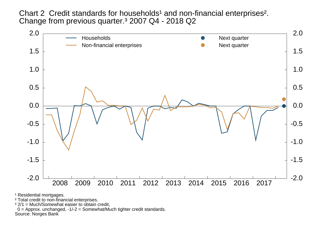Chart 2 Credit standards for households<sup>1</sup> and non-financial enterprises<sup>2</sup>. Change from previous quarter.³ 2007 Q4 - 2018 Q2



<sup>1</sup> Residential mortgages.

² Total credit to non-financial enterprises.

<sup>3</sup> 2/1 = Much/Somewhat easier to obtain credit,

0 = Approx. unchanged, -1/-2 = Somewhat/Much tighter credit standards.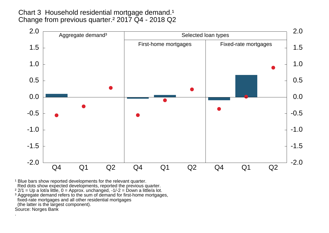Chart 3 Household residential mortgage demand.<sup>1</sup> Change from previous quarter.² 2017 Q4 - 2018 Q2



<sup>1</sup> Blue bars show reported developments for the relevant quarter. Red dots show expected developments, reported the previous quarter.

<sup>2</sup> 2/1 = Up a lot/a little, 0 = Approx. unchanged, -1/-2 = Down a little/a lot.<br><sup>3</sup> Aggregate demand refers to the sum of demand for first-home mortgages, fixed-rate mortgages and all other residential mortgages (the latter is the largest component).Source: Norges Bank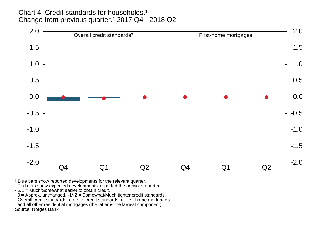Chart 4 Credit standards for households.<sup>1</sup> Change from previous quarter.² 2017 Q4 - 2018 Q2



<sup>1</sup> Blue bars show reported developments for the relevant quarter. Red dots show expected developments, reported the previous quarter.<br><sup>2</sup> 2/1 = Much/Somewhat easier to obtain credit,

0 = Approx. unchanged, -1/-2 = Somewhat/Much tighter credit standards.

<sup>3</sup> Overall credit standards refers to credit standards for first-home mortgages and all other residential mortgages (the latter is the largest component).Source: Norges Bank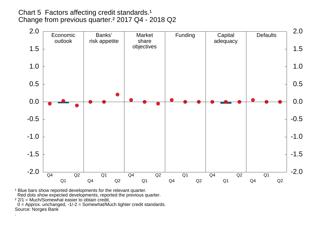## Chart 5 Factors affecting credit standards.<sup>1</sup> Change from previous quarter.² 2017 Q4 - 2018 Q2

![](_page_5_Figure_1.jpeg)

<sup>1</sup> Blue bars show reported developments for the relevant quarter.

Red dots show expected developments, reported the previous quarter.

 $22/1$  = Much/Somewhat easier to obtain credit,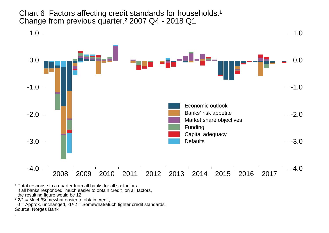Chart 6 Factors affecting credit standards for households.<sup>1</sup> Change from previous quarter.² 2007 Q4 - 2018 Q1

![](_page_6_Figure_1.jpeg)

<sup>1</sup> Total response in a quarter from all banks for all six factors. If all banks responded "much easier to obtain credit" on all factors, the resulting figure would be 12.

² 2/1 = Much/Somewhat easier to obtain credit,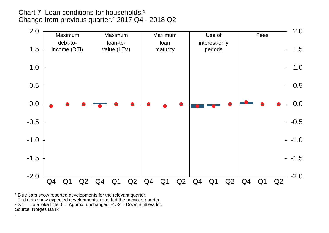Chart 7 Loan conditions for households.<sup>1</sup> Change from previous quarter.² 2017 Q4 - 2018 Q2

![](_page_7_Figure_1.jpeg)

<sup>1</sup> Blue bars show reported developments for the relevant quarter. Red dots show expected developments, reported the previous quarter. ² 2/1 = Up a lot/a little, 0 = Approx. unchanged, -1/-2 = Down a little/a lot.Source: Norges Bank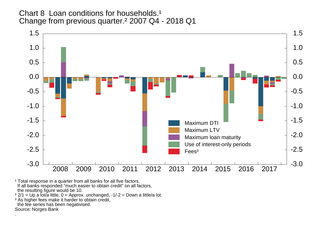Chart 8 Loan conditions for households.<sup>1</sup> Change from previous quarter.² 2007 Q4 - 2018 Q1

![](_page_8_Figure_1.jpeg)

<sup>1</sup> Total response in a quarter from all banks for all five factors.<br>If all banks responded "much easier to obtain credit" on all factors, the resulting figure would be 10.

² 2/1 = Up a lot/a little, 0 = Approx. unchanged, -1/-2 = Down a little/a lot.

<sup>3</sup> As higher fees make it harder to obtain credit,

the fee series has been negativised.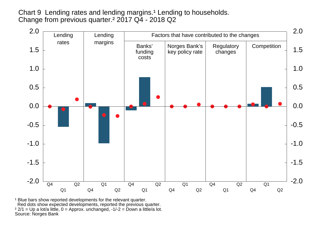Chart 9 Lending rates and lending margins.<sup>1</sup> Lending to households. Change from previous quarter.² 2017 Q4 - 2018 Q2

![](_page_9_Figure_1.jpeg)

<sup>1</sup> Blue bars show reported developments for the relevant quarter. Red dots show expected developments, reported the previous quarter. ² 2/1 = Up a lot/a little, 0 = Approx. unchanged, -1/-2 = Down a little/a lot.Source: Norges Bank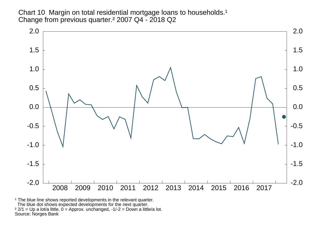Chart 10 Margin on total residential mortgage loans to households.<sup>1</sup> Change from previous quarter.² 2007 Q4 - 2018 Q2

![](_page_10_Figure_1.jpeg)

<sup>1</sup> The blue line shows reported developments in the relevant quarter. The blue dot shows expected developments for the next quarter. ² 2/1 = Up a lot/a little, 0 = Approx. unchanged, -1/-2 = Down a little/a lot.Source: Norges Bank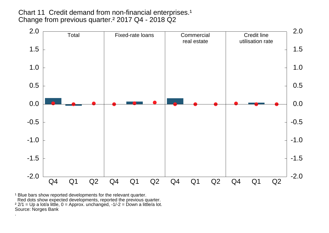Chart 11 Credit demand from non-financial enterprises.<sup>1</sup> Change from previous quarter.² 2017 Q4 - 2018 Q2

![](_page_11_Figure_1.jpeg)

<sup>1</sup> Blue bars show reported developments for the relevant quarter. Red dots show expected developments, reported the previous quarter.<br><sup>2</sup> 2/1 = Up a lot/a little, 0 = Approx. unchanged, -1/-2 = Down a little/a lot. Source: Norges Bank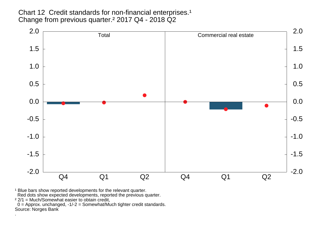Chart 12 Credit standards for non-financial enterprises.<sup>1</sup> Change from previous quarter.² 2017 Q4 - 2018 Q2

![](_page_12_Figure_1.jpeg)

<sup>1</sup> Blue bars show reported developments for the relevant quarter.

Red dots show expected developments, reported the previous quarter.<br><sup>2</sup> 2/1 = Much/Somewhat easier to obtain credit,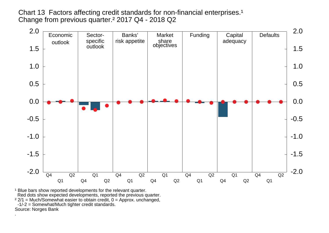Chart 13 Factors affecting credit standards for non-financial enterprises.<sup>1</sup> Change from previous quarter.<sup>2</sup> 2017 Q4 - 2018 Q2

![](_page_13_Figure_1.jpeg)

<sup>1</sup> Blue bars show reported developments for the relevant quarter. Red dots show expected developments, reported the previous quarter. $22/1$  = Much/Somewhat easier to obtain credit,  $0$  = Approx. unchanged, -1/-2 = Somewhat/Much tighter credit standards.Source: Norges Bank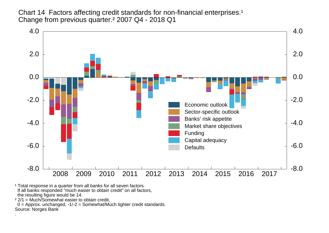Chart 14 Factors affecting credit standards for non-financial enterprises.<sup>1</sup> Change from previous quarter.<sup>2</sup> 2007 Q4 - 2018 Q1

![](_page_14_Figure_1.jpeg)

<sup>1</sup> Total response in a quarter from all banks for all seven factors. If all banks responded "much easier to obtain credit" on all factors, the resulting figure would be 14.

² 2/1 = Much/Somewhat easier to obtain credit,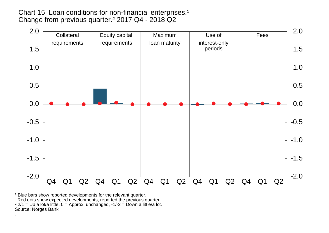Chart 15 Loan conditions for non-financial enterprises.<sup>1</sup> Change from previous quarter.² 2017 Q4 - 2018 Q2

![](_page_15_Figure_1.jpeg)

<sup>1</sup> Blue bars show reported developments for the relevant quarter. Red dots show expected developments, reported the previous quarter.<br><sup>2</sup> 2/1 = Up a lot/a little, 0 = Approx. unchanged, -1/-2 = Down a little/a lot. Source: Norges Bank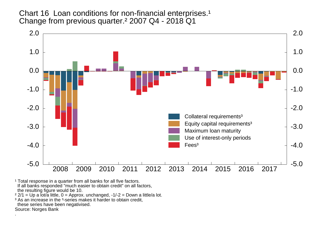Chart 16 Loan conditions for non-financial enterprises.<sup>1</sup> Change from previous quarter.² 2007 Q4 - 2018 Q1

![](_page_16_Figure_1.jpeg)

<sup>1</sup> Total response in a quarter from all banks for all five factors. If all banks responded "much easier to obtain credit" on all factors, the resulting figure would be 10.

² 2/1 = Up a lot/a little, 0 = Approx. unchanged, -1/-2 = Down a little/a lot.

<sup>3</sup> As an increase in the <sup>3</sup>-series makes it harder to obtain credit,

these series have been negativised.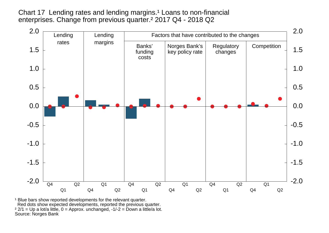Chart 17 Lending rates and lending margins.<sup>1</sup> Loans to non-financial enterprises. Change from previous quarter.² 2017 Q4 - 2018 Q2

![](_page_17_Figure_1.jpeg)

<sup>1</sup> Blue bars show reported developments for the relevant quarter. Red dots show expected developments, reported the previous quarter. ² 2/1 = Up a lot/a little, 0 = Approx. unchanged, -1/-2 = Down a little/a lot.Source: Norges Bank